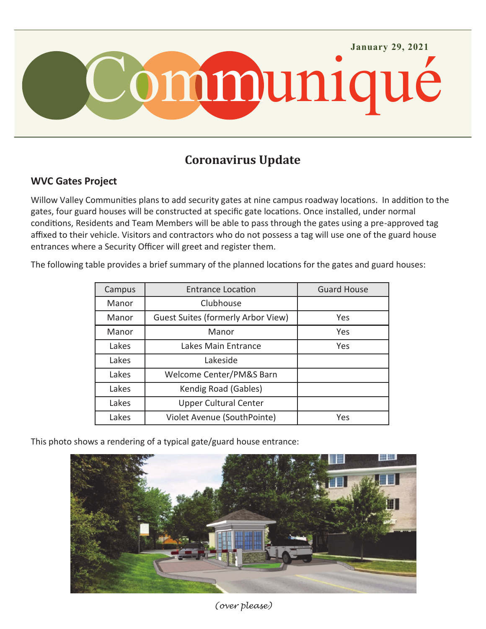

## **Coronavirus Update**

## **WVC Gates Project**

Willow Valley Communities plans to add security gates at nine campus roadway locations. In addition to the gates, four guard houses will be constructed at specific gate locations. Once installed, under normal conditions, Residents and Team Members will be able to pass through the gates using a pre-approved tag affixed to their vehicle. Visitors and contractors who do not possess a tag will use one of the guard house entrances where a Security Officer will greet and register them.

The following table provides a brief summary of the planned locations for the gates and guard houses:

| Campus | <b>Entrance Location</b>                  | <b>Guard House</b> |
|--------|-------------------------------------------|--------------------|
| Manor  | Clubhouse                                 |                    |
| Manor  | <b>Guest Suites (formerly Arbor View)</b> | Yes                |
| Manor  | Manor                                     | Yes                |
| Lakes  | Lakes Main Entrance                       | Yes                |
| Lakes  | Lakeside                                  |                    |
| Lakes  | Welcome Center/PM&S Barn                  |                    |
| Lakes  | Kendig Road (Gables)                      |                    |
| Lakes  | <b>Upper Cultural Center</b>              |                    |
| Lakes  | Violet Avenue (SouthPointe)               | Yes                |

This photo shows a rendering of a typical gate/guard house entrance:



*(over please)*